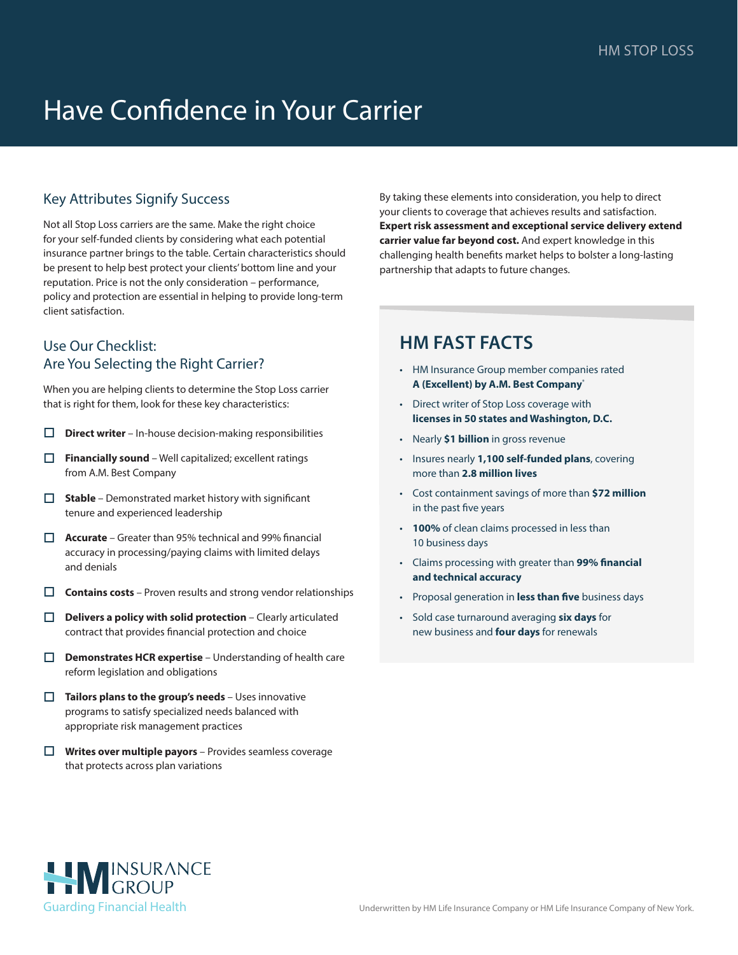# Have Confidence in Your Carrier

## Key Attributes Signify Success

Not all Stop Loss carriers are the same. Make the right choice for your self-funded clients by considering what each potential insurance partner brings to the table. Certain characteristics should be present to help best protect your clients' bottom line and your reputation. Price is not the only consideration – performance, policy and protection are essential in helping to provide long-term client satisfaction.

### Use Our Checklist: Are You Selecting the Right Carrier?

When you are helping clients to determine the Stop Loss carrier that is right for them, look for these key characteristics:

- **Direct writer** In-house decision-making responsibilities
- **T** Financially sound Well capitalized; excellent ratings from A.M. Best Company
- **Gives Stable** Demonstrated market history with significant tenure and experienced leadership
- **C** Accurate Greater than 95% technical and 99% financial accuracy in processing/paying claims with limited delays and denials
- $\Box$  **Contains costs** Proven results and strong vendor relationships
- **Delivers a policy with solid protection** Clearly articulated contract that provides financial protection and choice
- **Demonstrates HCR expertise** Understanding of health care reform legislation and obligations
- **Tailors plans to the group's needs** Uses innovative programs to satisfy specialized needs balanced with appropriate risk management practices
- **O** Writes over multiple payors Provides seamless coverage that protects across plan variations

By taking these elements into consideration, you help to direct your clients to coverage that achieves results and satisfaction. **Expert risk assessment and exceptional service delivery extend carrier value far beyond cost.** And expert knowledge in this challenging health benefits market helps to bolster a long-lasting partnership that adapts to future changes.

# **HM FAST FACTS**

- HM Insurance Group member companies rated **A (Excellent) by A.M. Best Company**\*
- Direct writer of Stop Loss coverage with **licenses in 50 states and Washington, D.C.**
- Nearly **\$1 billion** in gross revenue
- Insures nearly **1,100 self-funded plans**, covering more than **2.8 million lives**
- Cost containment savings of more than **\$72 million** in the past five years
- **100%** of clean claims processed in less than 10 business days
- Claims processing with greater than **99% financial and technical accuracy**
- Proposal generation in **less than five** business days
- Sold case turnaround averaging **six days** for new business and **four days** for renewals